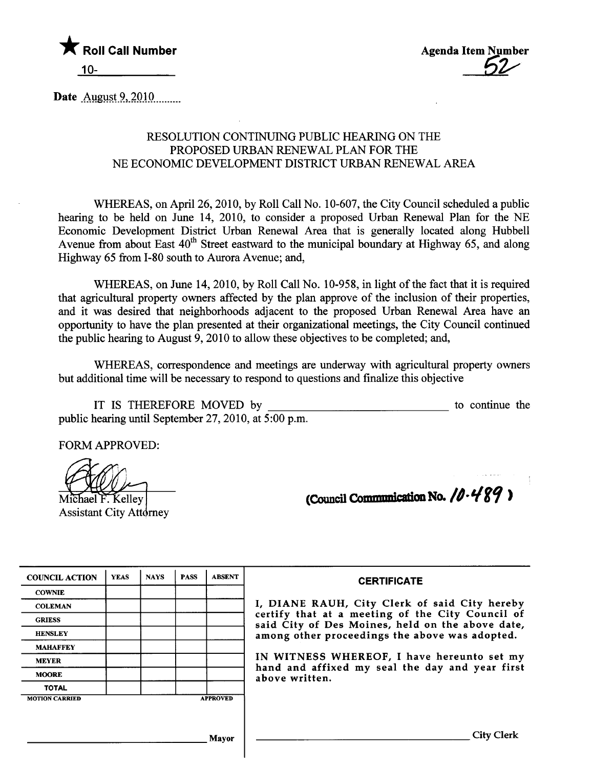

Date August 9, 2010

#### RESOLUTION CONTINUING PUBLIC HEARING ON THE PROPOSED URBAN RENEWAL PLAN FOR THE NE ECONOMIC DEVELOPMENT DISTRICT URBAN RENEWAL AREA

WHEREAS, on April 26, 2010, by Roll Call No. 10-607, the City Council scheduled a public hearing to be held on June 14, 2010, to consider a proposed Urban Renewal Plan for the NE Economic Development District Urban Renewal Area that is generally located along Hubbell Avenue from about East  $40^{th}$  Street eastward to the municipal boundary at Highway 65, and along Highway 65 from 1-80 south to Aurora Avenue; and,

WHEREAS, on June 14,2010, by Roll Call No. 10-958, in light of the fact that it is required that agricultural property owners affected by the plan approve of the inclusion of their properties, and it was desired that neighborhoods adjacent to the proposed Urban Renewal Area have an opportunity to have the plan presented at their organizational meetings, the City Council continued the public hearng to August 9,2010 to allow these objectives to be completed; and,

WHEREAS, correspondence and meetings are underway with agricultural property owners but additional time will be necessary to respond to questions and finalize this objective

IT IS THEREFORE MOVED by public hearng until September 27, 2010, at 5 :00 p.m. to continue the

FORM APPROVED:

Michael F. Kelley

**Assistant City Attorney** 

| (Council Communication No. $10.489$ ) |
|---------------------------------------|
|---------------------------------------|

| <b>COUNCIL ACTION</b> | <b>YEAS</b> | <b>NAYS</b>     | <b>PASS</b> | <b>ABSENT</b> |
|-----------------------|-------------|-----------------|-------------|---------------|
| <b>COWNIE</b>         |             |                 |             |               |
| <b>COLEMAN</b>        |             |                 |             |               |
| <b>GRIESS</b>         |             |                 |             |               |
| <b>HENSLEY</b>        |             |                 |             |               |
| <b>MAHAFFEY</b>       |             |                 |             |               |
| <b>MEYER</b>          |             |                 |             |               |
| <b>MOORE</b>          |             |                 |             |               |
| <b>TOTAL</b>          |             |                 |             |               |
| <b>MOTION CARRIED</b> |             | <b>APPROVED</b> |             |               |

#### **CERTIFICATE**

I, DIANE RAUH, City Clerk of said City hereby certify that at a meeting of the City Council of said City of Des Moines, held on the above date, among other proceedings the above was adopted.

IN WITNESS WHEREOF, I have hereunto set my hand and affixed my seal the day and year first above written.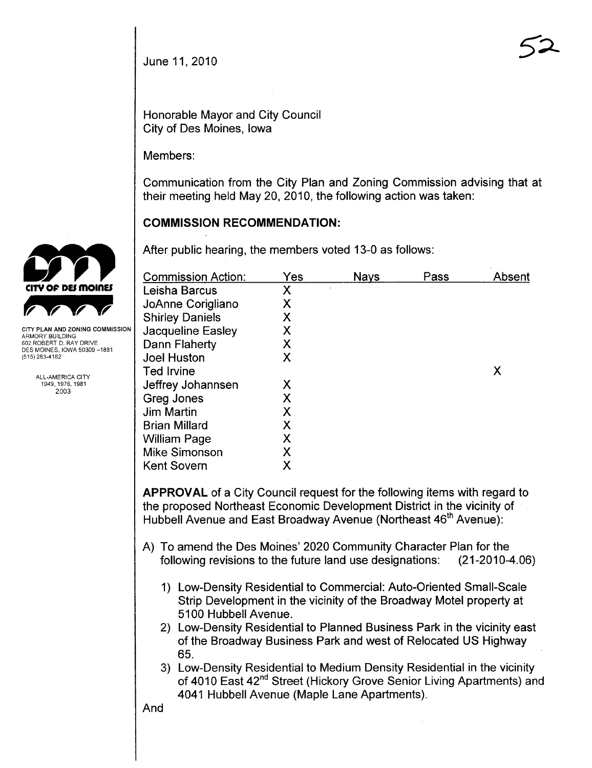Honorable Mayor and City Council City of Des Moines, Iowa

Members:

Communication from the City Plan and Zoning Commission advising that at their meeting held May 20, 2010, the following action was taken:

### **COMMISSION RECOMMENDATION:**

After public hearing, the members voted 13-0 as follows:

| Yes | <b>Nays</b> | Pass | Absent |
|-----|-------------|------|--------|
| X   |             |      |        |
| Χ   |             |      |        |
| Χ   |             |      |        |
| Χ   |             |      |        |
| Χ   |             |      |        |
| X   |             |      |        |
|     |             |      | X      |
| Χ   |             |      |        |
| Χ   |             |      |        |
| X   |             |      |        |
| Χ   |             |      |        |
| Χ   |             |      |        |
| Χ   |             |      |        |
| Χ   |             |      |        |
|     |             |      |        |

APPROVAL of a City Council request for the following items with regard to the proposed Northeast Economic Development District in the vicinity of Hubbell Avenue and East Broadway Avenue (Northeast 46<sup>th</sup> Avenue):

- A) To amend the Des Moines' 2020 Community Character Plan for the following revisions to the future land use designations: (21-2010-4.06)
	- 1) Low-Density Residential to Commercial: Auto-Oriented Small-Scale Strip Development in the vicinity of the Broadway Motel property at 5100 Hubbell Avenue.
	- 2) Low-Density Residential to Planned Business Park in the vicinity east of the Broadway Business Park and west of Relocated US Highway 65.
	- 3) Low-Density Residential to Medium Density Residential in the vicinity of 4010 East 42<sup>nd</sup> Street (Hickory Grove Senior Living Apartments) and 4041 Hubbell Avenue (Maple Lane Apartments).

CITY OF DES MOINES **CITY OF DES MOINES** 

ARMORY BUILDING 602 ROBERT D. RAY DRIVE DES MOINES, IOWA 50309-1881 (515) 283-4182

> ALL-AMERICA CITY 1949,1976,1981 2003

> > And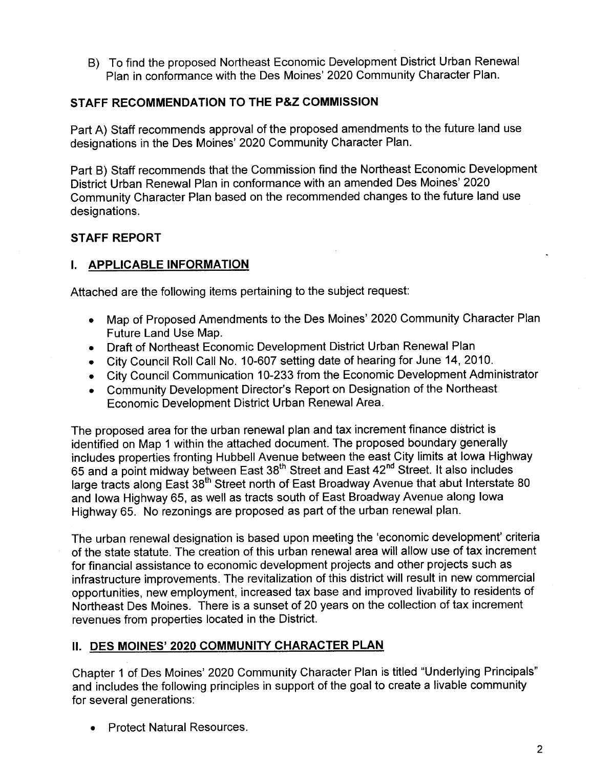B) To find the proposed Northeast Economic Development District Urban Renewal Plan in conformance with the Des Moines' 2020 Community Character Plan.

### STAFF RECOMMENDATION TO THE P&Z COMMISSION

Part A) Staff recommends approval of the proposed amendments to the future land use designations in the Des Moines' 2020 Community Character Plan.

Part B) Staff recommends that the Commission find the Northeast Economic Development District Urban Renewal Plan in conformance with an amended Des Moines' 2020 Community Character Plan based on the recommended changes to the future land use designations.

# STAFF REPORT

### i. APPLICABLE INFORMATION

Attached are the following items pertaining to the subject request:

- . Map of Proposed Amendments to the Des Moines' 2020 Community Character Plan Future Land Use Map.
- . Draft of Northeast Economic Development District Urban Renewal Plan
- . City Council Roll Call NO.1 0-607 setting date of hearing for June 14, 2010.
- . City Council Communication 10-233 from the Economic Development Administrator
- . Community Development Director's Report on Designation of the Northeast Economic Development District Urban Renewal Area.

The proposed area for the urban renewal plan and tax increment finance district is identified on Map 1 within the attached document. The proposed boundary generally includes properties fronting Hubbell Avenue between the east City limits at Iowa Highway 65 and a point midway between East 38<sup>th</sup> Street and East 42<sup>nd</sup> Street. It also includes large tracts along East 38<sup>th</sup> Street north of East Broadway Avenue that abut Interstate 80 and Iowa Highway 65, as well as tracts south of East Broadway Avenue along Iowa Highway 65. No rezonings are proposed as part of the urban renewal plan.

The urban renewal designation is based upon meeting the 'economic development' criteria of the state statute. The creation of this urban renewal area will allow use of tax increment for financial assistance to economic development projects and other projects such as infrastructure improvements. The revitalization of this district will result in new commercial opportunities, new employment, increased tax base and improved livability to residents of Northeast Des Moines. There is a sunset of 20 years on the collection of tax increment revenues from properties located in the District.

# II. DES MOINES' 2020 COMMUNITY CHARACTER PLAN

Chapter 1 of Des Moines' 2020 Community Character Plan is titled "Underlying Principals" and includes the following principles in support of the goal to create a livable community for several generations:

. Protect Natural Resources.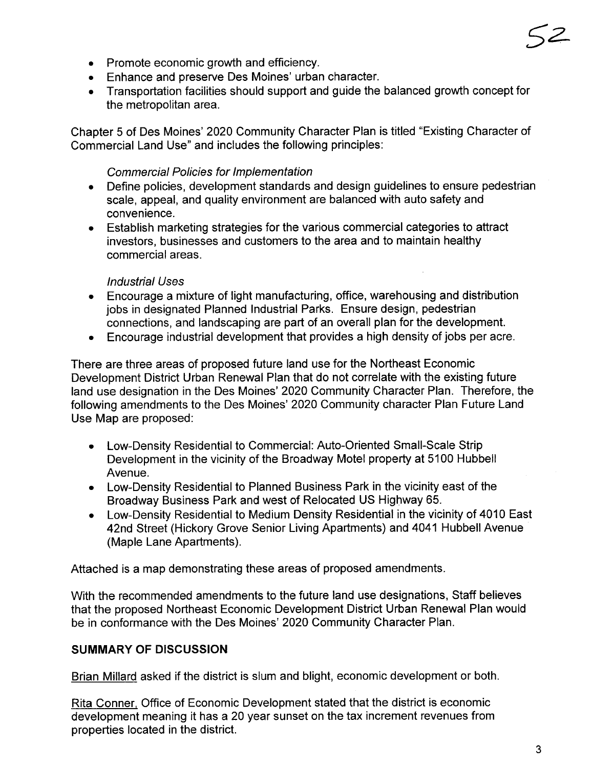- Promote economic growth and efficiency.
- . Enhance and preserve Des Moines' urban character.
- . Transportation facilities should support and guide the balanced growth concept for the metropolitan area.

Chapter 5 of Des Moines' 2020 Community Character Plan is titled "Existing Character of Commercial Land Use" and includes the following principles:

# Commercial Policies for Implementation

- . Define policies, development standards and design guidelines to ensure pedestrian scale, appeal, and quality environment are balanced with auto safety and convenience.
- . Establish marketing strategies for the various commercial categories to attract investors, businesses and customers to the area and to maintain healthy commercial areas.

# Industrial Uses

- . Encourage a mixture of light manufacturing, office, warehousing and distribution jobs in designated Planned Industrial Parks. Ensure design, pedestrian connections, and landscaping are part of an overall plan for the development.
- . Encourage industrial development that provides a high density of jobs per acre.

There are three areas of proposed future land use for the Northeast Economic Development District Urban Renewal Plan that do not correlate with the existing future land use designation in the Des Moines' 2020 Community Character Plan. Therefore, the following amendments to the Des Moines' 2020 Community character Plan Future Land Use Map are proposed:

- . Low-Density Residential to Commercial: Auto-Oriented Small-Scale Strip Development in the vicinity of the Broadway Motel property at 5100 Hubbell Avenue.
- . Low-Density Residential to Planned Business Park in the vicinity east of the Broadway Business Park and west of Relocated US Highway 65.
- . Low-Density Residential to Medium Density Residential in the vicinity of 4010 East 42nd Street (Hickory Grove Senior Living Apartments) and 4041 Hubbell Avenue (Maple Lane Apartments).

Attached is a map demonstrating these areas of proposed amendments.

With the recommended amendments to the future land use designations, Staff believes that the proposed Northeast Economic Development District Urban Renewal Plan would be in conformance with the Des Moines' 2020 Community Character Plan.

# SUMMARY OF DISCUSSION

Brian Millard asked if the district is slum and blight, economic development or both.

Rita Conner, Office of Economic Development stated that the district is economic development meaning it has a 20 year sunset on the tax increment revenues from properties located in the district.